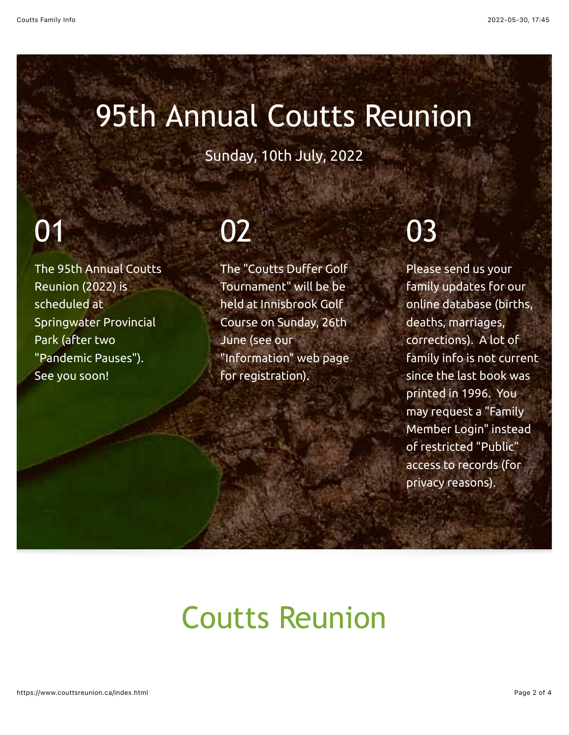#### 95th Annual Coutts Reunion

Sunday, 10th July, 2022

# 01

The 95th Annual Coutts Reunion (2022) is scheduled at Springwater Provincial Park (after two "Pandemic Pauses"). See you soon!

## 02

The "Coutts Duffer Golf Tournament" will be be held at Innisbrook Golf Course on Sunday, 26th June (see our "Information" web page for registration).

# 03

Please send us your family updates for our online database (births, deaths, marriages, corrections). A lot of family info is not current since the last book was printed in 1996. You may request a "Family Member Login" instead of restricted "Public" access to records (for privacy reasons).

### Coutts Reunion